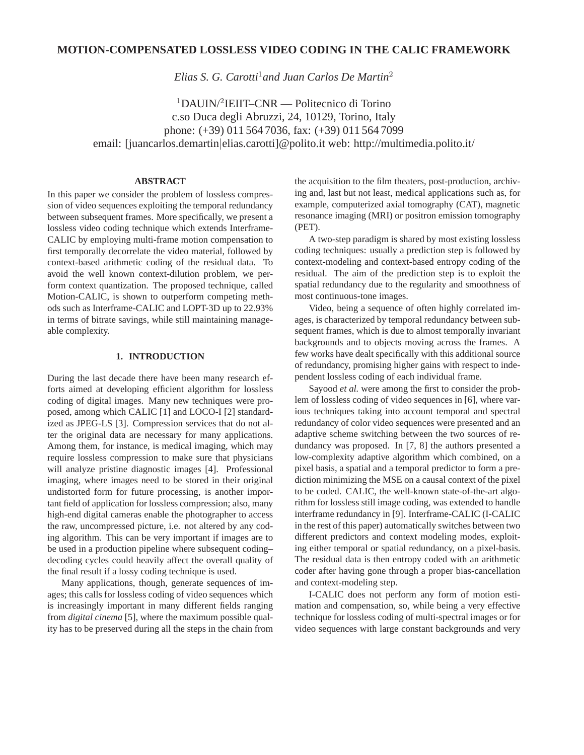# **MOTION-COMPENSATED LOSSLESS VIDEO CODING IN THE CALIC FRAMEWORK**

*Elias S. G. Carotti*<sup>1</sup>*and Juan Carlos De Martin*<sup>2</sup>

<sup>1</sup>DAUIN/<sup>2</sup>IEIIT–CNR — Politecnico di Torino c.so Duca degli Abruzzi, 24, 10129, Torino, Italy phone: (+39) 011 564 7036, fax: (+39) 011 564 7099 email: [juancarlos.demartin|elias.carotti]@polito.it web: http://multimedia.polito.it/

## **ABSTRACT**

In this paper we consider the problem of lossless compression of video sequences exploiting the temporal redundancy between subsequent frames. More specifically, we present a lossless video coding technique which extends Interframe-CALIC by employing multi-frame motion compensation to first temporally decorrelate the video material, followed by context-based arithmetic coding of the residual data. To avoid the well known context-dilution problem, we perform context quantization. The proposed technique, called Motion-CALIC, is shown to outperform competing methods such as Interframe-CALIC and LOPT-3D up to 22.93% in terms of bitrate savings, while still maintaining manageable complexity.

## **1. INTRODUCTION**

During the last decade there have been many research efforts aimed at developing efficient algorithm for lossless coding of digital images. Many new techniques were proposed, among which CALIC [1] and LOCO-I [2] standardized as JPEG-LS [3]. Compression services that do not alter the original data are necessary for many applications. Among them, for instance, is medical imaging, which may require lossless compression to make sure that physicians will analyze pristine diagnostic images [4]. Professional imaging, where images need to be stored in their original undistorted form for future processing, is another important field of application for lossless compression; also, many high-end digital cameras enable the photographer to access the raw, uncompressed picture, i.e. not altered by any coding algorithm. This can be very important if images are to be used in a production pipeline where subsequent coding– decoding cycles could heavily affect the overall quality of the final result if a lossy coding technique is used.

Many applications, though, generate sequences of images; this calls for lossless coding of video sequences which is increasingly important in many different fields ranging from *digital cinema* [5], where the maximum possible quality has to be preserved during all the steps in the chain from the acquisition to the film theaters, post-production, archiving and, last but not least, medical applications such as, for example, computerized axial tomography (CAT), magnetic resonance imaging (MRI) or positron emission tomography (PET).

A two-step paradigm is shared by most existing lossless coding techniques: usually a prediction step is followed by context-modeling and context-based entropy coding of the residual. The aim of the prediction step is to exploit the spatial redundancy due to the regularity and smoothness of most continuous-tone images.

Video, being a sequence of often highly correlated images, is characterized by temporal redundancy between subsequent frames, which is due to almost temporally invariant backgrounds and to objects moving across the frames. A few works have dealt specifically with this additional source of redundancy, promising higher gains with respect to independent lossless coding of each individual frame.

Sayood *et al.* were among the first to consider the problem of lossless coding of video sequences in [6], where various techniques taking into account temporal and spectral redundancy of color video sequences were presented and an adaptive scheme switching between the two sources of redundancy was proposed. In [7, 8] the authors presented a low-complexity adaptive algorithm which combined, on a pixel basis, a spatial and a temporal predictor to form a prediction minimizing the MSE on a causal context of the pixel to be coded. CALIC, the well-known state-of-the-art algorithm for lossless still image coding, was extended to handle interframe redundancy in [9]. Interframe-CALIC (I-CALIC in the rest of this paper) automatically switches between two different predictors and context modeling modes, exploiting either temporal or spatial redundancy, on a pixel-basis. The residual data is then entropy coded with an arithmetic coder after having gone through a proper bias-cancellation and context-modeling step.

I-CALIC does not perform any form of motion estimation and compensation, so, while being a very effective technique for lossless coding of multi-spectral images or for video sequences with large constant backgrounds and very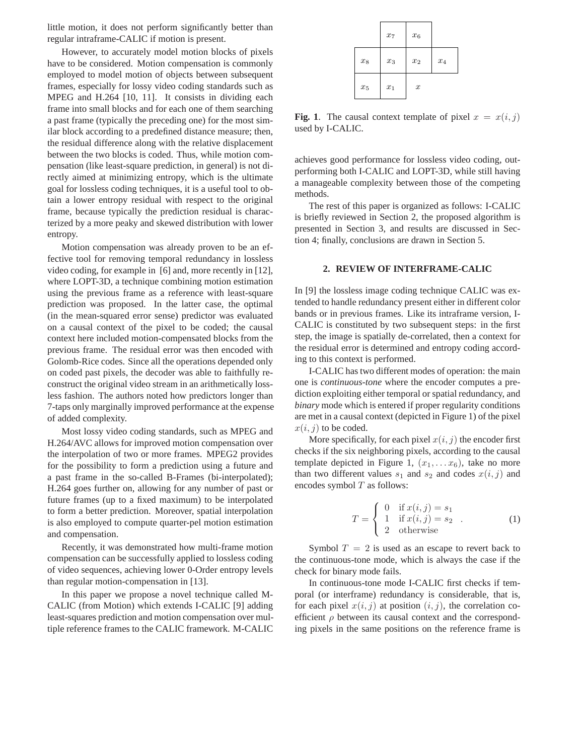little motion, it does not perform significantly better than regular intraframe-CALIC if motion is present.

However, to accurately model motion blocks of pixels have to be considered. Motion compensation is commonly employed to model motion of objects between subsequent frames, especially for lossy video coding standards such as MPEG and H.264 [10, 11]. It consists in dividing each frame into small blocks and for each one of them searching a past frame (typically the preceding one) for the most similar block according to a predefined distance measure; then, the residual difference along with the relative displacement between the two blocks is coded. Thus, while motion compensation (like least-square prediction, in general) is not directly aimed at minimizing entropy, which is the ultimate goal for lossless coding techniques, it is a useful tool to obtain a lower entropy residual with respect to the original frame, because typically the prediction residual is characterized by a more peaky and skewed distribution with lower entropy.

Motion compensation was already proven to be an effective tool for removing temporal redundancy in lossless video coding, for example in [6] and, more recently in [12], where LOPT-3D, a technique combining motion estimation using the previous frame as a reference with least-square prediction was proposed. In the latter case, the optimal (in the mean-squared error sense) predictor was evaluated on a causal context of the pixel to be coded; the causal context here included motion-compensated blocks from the previous frame. The residual error was then encoded with Golomb-Rice codes. Since all the operations depended only on coded past pixels, the decoder was able to faithfully reconstruct the original video stream in an arithmetically lossless fashion. The authors noted how predictors longer than 7-taps only marginally improved performance at the expense of added complexity.

Most lossy video coding standards, such as MPEG and H.264/AVC allows for improved motion compensation over the interpolation of two or more frames. MPEG2 provides for the possibility to form a prediction using a future and a past frame in the so-called B-Frames (bi-interpolated); H.264 goes further on, allowing for any number of past or future frames (up to a fixed maximum) to be interpolated to form a better prediction. Moreover, spatial interpolation is also employed to compute quarter-pel motion estimation and compensation.

Recently, it was demonstrated how multi-frame motion compensation can be successfully applied to lossless coding of video sequences, achieving lower 0-Order entropy levels than regular motion-compensation in [13].

In this paper we propose a novel technique called M-CALIC (from Motion) which extends I-CALIC [9] adding least-squares prediction and motion compensation over multiple reference frames to the CALIC framework. M-CALIC

|       | $\boldsymbol{x}_7$ | $\boldsymbol{x}_6$ |                    |
|-------|--------------------|--------------------|--------------------|
| $x_8$ | $x_3$              | $\boldsymbol{x}_2$ | $\boldsymbol{x}_4$ |
| $x_5$ | $\boldsymbol{x}_1$ | $\boldsymbol{x}$   |                    |

**Fig. 1**. The causal context template of pixel  $x = x(i, j)$ used by I-CALIC.

achieves good performance for lossless video coding, outperforming both I-CALIC and LOPT-3D, while still having a manageable complexity between those of the competing methods.

The rest of this paper is organized as follows: I-CALIC is briefly reviewed in Section 2, the proposed algorithm is presented in Section 3, and results are discussed in Section 4; finally, conclusions are drawn in Section 5.

#### **2. REVIEW OF INTERFRAME-CALIC**

In [9] the lossless image coding technique CALIC was extended to handle redundancy present either in different color bands or in previous frames. Like its intraframe version, I-CALIC is constituted by two subsequent steps: in the first step, the image is spatially de-correlated, then a context for the residual error is determined and entropy coding according to this context is performed.

I-CALIC has two different modes of operation: the main one is *continuous-tone* where the encoder computes a prediction exploiting either temporal or spatial redundancy, and *binary* mode which is entered if proper regularity conditions are met in a causal context (depicted in Figure 1) of the pixel  $x(i, j)$  to be coded.

More specifically, for each pixel  $x(i, j)$  the encoder first checks if the six neighboring pixels, according to the causal template depicted in Figure 1,  $(x_1, \ldots, x_6)$ , take no more than two different values  $s_1$  and  $s_2$  and codes  $x(i, j)$  and encodes symbol  $T$  as follows:

$$
T = \begin{cases} 0 & \text{if } x(i,j) = s_1 \\ 1 & \text{if } x(i,j) = s_2 \\ 2 & \text{otherwise} \end{cases}
$$
 (1)

Symbol  $T = 2$  is used as an escape to revert back to the continuous-tone mode, which is always the case if the check for binary mode fails.

In continuous-tone mode I-CALIC first checks if temporal (or interframe) redundancy is considerable, that is, for each pixel  $x(i, j)$  at position  $(i, j)$ , the correlation coefficient  $\rho$  between its causal context and the corresponding pixels in the same positions on the reference frame is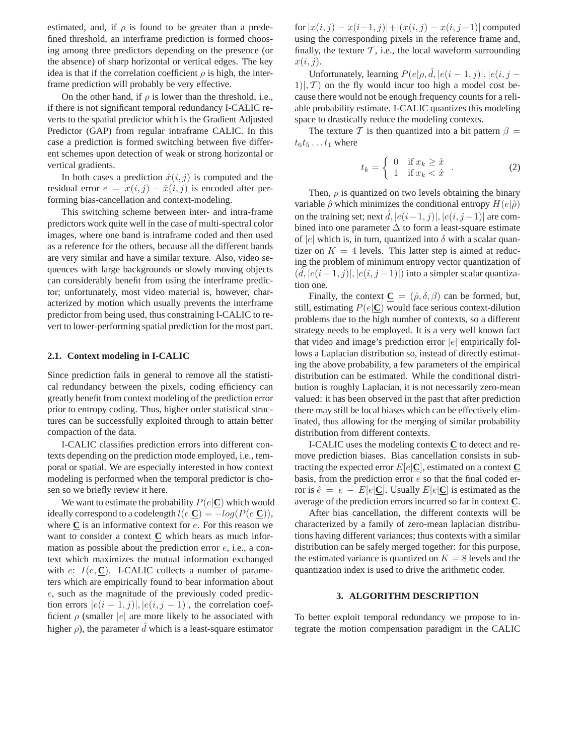estimated, and, if  $\rho$  is found to be greater than a predefined threshold, an interframe prediction is formed choosing among three predictors depending on the presence (or the absence) of sharp horizontal or vertical edges. The key idea is that if the correlation coefficient  $\rho$  is high, the interframe prediction will probably be very effective.

On the other hand, if  $\rho$  is lower than the threshold, i.e., if there is not significant temporal redundancy I-CALIC reverts to the spatial predictor which is the Gradient Adjusted Predictor (GAP) from regular intraframe CALIC. In this case a prediction is formed switching between five different schemes upon detection of weak or strong horizontal or vertical gradients.

In both cases a prediction  $\hat{x}(i,j)$  is computed and the residual error  $e = x(i, j) - \hat{x}(i, j)$  is encoded after performing bias-cancellation and context-modeling.

This switching scheme between inter- and intra-frame predictors work quite well in the case of multi-spectral color images, where one band is intraframe coded and then used as a reference for the others, because all the different bands are very similar and have a similar texture. Also, video sequences with large backgrounds or slowly moving objects can considerably benefit from using the interframe predictor; unfortunately, most video material is, however, characterized by motion which usually prevents the interframe predictor from being used, thus constraining I-CALIC to revert to lower-performing spatial prediction for the most part.

### **2.1. Context modeling in I-CALIC**

Since prediction fails in general to remove all the statistical redundancy between the pixels, coding efficiency can greatly benefit from context modeling of the prediction error prior to entropy coding. Thus, higher order statistical structures can be successfully exploited through to attain better compaction of the data.

I-CALIC classifies prediction errors into different contexts depending on the prediction mode employed, i.e., temporal or spatial. We are especially interested in how context modeling is performed when the temporal predictor is chosen so we briefly review it here.

We want to estimate the probability  $P(e|\mathbf{C})$  which would ideally correspond to a codelength  $l(e|\mathbf{C}) = -log(P(e|\mathbf{C}))$ , where **C** is an informative context for e. For this reason we want to consider a context **C** which bears as much information as possible about the prediction error  $e$ , i.e., a context which maximizes the mutual information exchanged with  $e: I(e, C)$ . I-CALIC collects a number of parameters which are empirically found to bear information about e, such as the magnitude of the previously coded prediction errors  $|e(i - 1, j)|, |e(i, j - 1)|$ , the correlation coefficient  $\rho$  (smaller |e| are more likely to be associated with higher  $\rho$ ), the parameter  $\hat{d}$  which is a least-square estimator

for  $|x(i, j) - x(i-1, j)| + |(x(i, j) - x(i, j-1))|$  computed using the corresponding pixels in the reference frame and, finally, the texture  $\mathcal{T}$ , i.e., the local waveform surrounding  $x(i,j).$ 

Unfortunately, learning  $P(e|\rho, \hat{d}, |e(i-1,j)|, |e(i,j-1)|)$  $1|, T$  on the fly would incur too high a model cost because there would not be enough frequency counts for a reliable probability estimate. I-CALIC quantizes this modeling space to drastically reduce the modeling contexts.

The texture T is then quantized into a bit pattern  $\beta =$  $t_6t_5 \ldots t_1$  where

$$
t_k = \begin{cases} 0 & \text{if } x_k \ge \hat{x} \\ 1 & \text{if } x_k < \hat{x} \end{cases} . \tag{2}
$$

Then,  $\rho$  is quantized on two levels obtaining the binary variable  $\hat{\rho}$  which minimizes the conditional entropy  $H(e|\hat{\rho})$ on the training set; next  $\hat{d}$ ,  $|e(i-1,j)|$ ,  $|e(i,j-1)|$  are combined into one parameter  $\Delta$  to form a least-square estimate of |e| which is, in turn, quantized into  $\delta$  with a scalar quantizer on  $K = 4$  levels. This latter step is aimed at reducing the problem of minimum entropy vector quantization of  $(\tilde{d}, |e(i-1,j)|, |e(i,j-1)|)$  into a simpler scalar quantization one.

Finally, the context  $\underline{\mathbf{C}} = (\hat{\rho}, \delta, \beta)$  can be formed, but, still, estimating  $P(e|\mathbf{C})$  would face serious context-dilution problems due to the high number of contexts, so a different strategy needs to be employed. It is a very well known fact that video and image's prediction error  $|e|$  empirically follows a Laplacian distribution so, instead of directly estimating the above probability, a few parameters of the empirical distribution can be estimated. While the conditional distribution is roughly Laplacian, it is not necessarily zero-mean valued: it has been observed in the past that after prediction there may still be local biases which can be effectively eliminated, thus allowing for the merging of similar probability distribution from different contexts.

I-CALIC uses the modeling contexts **C** to detect and remove prediction biases. Bias cancellation consists in subtracting the expected error  $E[e|\mathbf{C}]$ , estimated on a context  $\mathbf{C}$ basis, from the prediction error  $e$  so that the final coded error is  $\hat{e} = e - E[e|\mathbf{C}]$ . Usually  $E[e|\mathbf{C}]$  is estimated as the average of the prediction errors incurred so far in context **C**.

After bias cancellation, the different contexts will be characterized by a family of zero-mean laplacian distributions having different variances; thus contexts with a similar distribution can be safely merged together: for this purpose, the estimated variance is quantized on  $K = 8$  levels and the quantization index is used to drive the arithmetic coder.

### **3. ALGORITHM DESCRIPTION**

To better exploit temporal redundancy we propose to integrate the motion compensation paradigm in the CALIC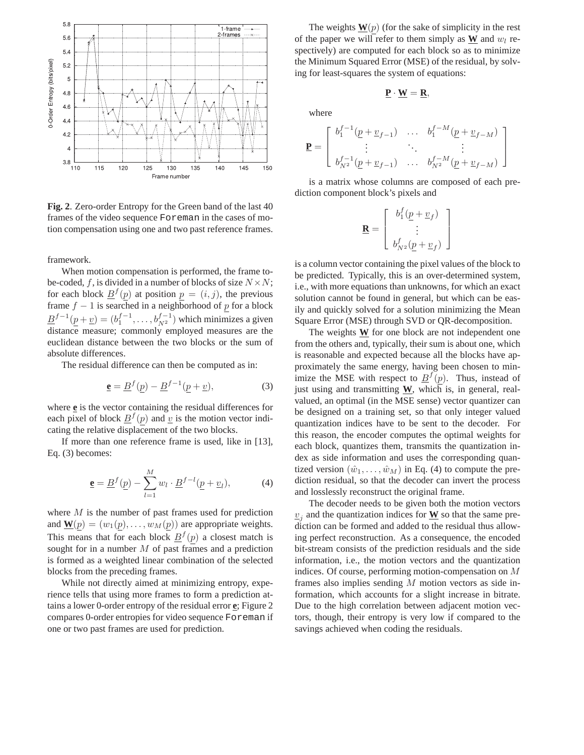

**Fig. 2**. Zero-order Entropy for the Green band of the last 40 frames of the video sequence Foreman in the cases of motion compensation using one and two past reference frames.

framework.

When motion compensation is performed, the frame tobe-coded, f, is divided in a number of blocks of size  $N \times N$ ; for each block  $\underline{B}^f(p)$  at position  $p = (i, j)$ , the previous frame  $f - 1$  is searched in a neighborhood of  $\underline{p}$  for a block  $\underline{B}^{f-1}(\underline{p}+\underline{v})=(b_1^{f-1},\ldots,b_{N^2}^{f-1})$  which minimizes a given distance measure; commonly employed measures are the euclidean distance between the two blocks or the sum of absolute differences.

The residual difference can then be computed as in:

$$
\underline{\mathbf{e}} = \underline{B}^f(\underline{p}) - \underline{B}^{f-1}(\underline{p} + \underline{v}),\tag{3}
$$

where **e** is the vector containing the residual differences for each pixel of block  $\underline{B}^f(p)$  and  $\underline{v}$  is the motion vector indicating the relative displacement of the two blocks.

If more than one reference frame is used, like in [13], Eq. (3) becomes:

$$
\underline{\mathbf{e}} = \underline{B}^f(\underline{p}) - \sum_{l=1}^M w_l \cdot \underline{B}^{f-l}(\underline{p} + \underline{v}_l), \tag{4}
$$

where  $M$  is the number of past frames used for prediction and  $\mathbf{W}(p) = (w_1(p), \dots, w_M(p))$  are appropriate weights. This means that for each block  $\underline{B}^f(p)$  a closest match is sought for in a number M of past frames and a prediction is formed as a weighted linear combination of the selected blocks from the preceding frames.

While not directly aimed at minimizing entropy, experience tells that using more frames to form a prediction attains a lower 0-order entropy of the residual error **e**; Figure 2 compares 0-order entropies for video sequence Foreman if one or two past frames are used for prediction.

The weights  $\mathbf{W}(p)$  (for the sake of simplicity in the rest of the paper we will refer to them simply as  $\mathbf{W}$  and  $w_l$  respectively) are computed for each block so as to minimize the Minimum Squared Error (MSE) of the residual, by solving for least-squares the system of equations:

$$
\underline{P} \cdot \underline{W} = \underline{R},
$$

where

$$
\mathbf{P} = \begin{bmatrix} b_1^{f-1}(\underline{p} + \underline{v}_{f-1}) & \dots & b_1^{f-M}(\underline{p} + \underline{v}_{f-M}) \\ \vdots & \ddots & \vdots \\ b_{N^2}^{f-1}(\underline{p} + \underline{v}_{f-1}) & \dots & b_{N^2}^{f-M}(\underline{p} + \underline{v}_{f-M}) \end{bmatrix}
$$

is a matrix whose columns are composed of each prediction component block's pixels and

$$
\mathbf{R} = \left[ \begin{array}{c} b_1^f(\underline{p} + \underline{v}_f) \\ \vdots \\ b_{N^2}^f(\underline{p} + \underline{v}_f) \end{array} \right]
$$

is a column vector containing the pixel values of the block to be predicted. Typically, this is an over-determined system, i.e., with more equations than unknowns, for which an exact solution cannot be found in general, but which can be easily and quickly solved for a solution minimizing the Mean Square Error (MSE) through SVD or QR-decomposition.

The weights  **for one block are not independent one** from the others and, typically, their sum is about one, which is reasonable and expected because all the blocks have approximately the same energy, having been chosen to minimize the MSE with respect to  $\underline{B}^f(p)$ . Thus, instead of just using and transmitting **W**, which is, in general, realvalued, an optimal (in the MSE sense) vector quantizer can be designed on a training set, so that only integer valued quantization indices have to be sent to the decoder. For this reason, the encoder computes the optimal weights for each block, quantizes them, transmits the quantization index as side information and uses the corresponding quantized version  $(\hat{w}_1,\ldots,\hat{w}_M)$  in Eq. (4) to compute the prediction residual, so that the decoder can invert the process and losslessly reconstruct the original frame.

The decoder needs to be given both the motion vectors  $v_j$  and the quantization indices for  $\underline{W}$  so that the same prediction can be formed and added to the residual thus allowing perfect reconstruction. As a consequence, the encoded bit-stream consists of the prediction residuals and the side information, i.e., the motion vectors and the quantization indices. Of course, performing motion-compensation on M frames also implies sending M motion vectors as side information, which accounts for a slight increase in bitrate. Due to the high correlation between adjacent motion vectors, though, their entropy is very low if compared to the savings achieved when coding the residuals.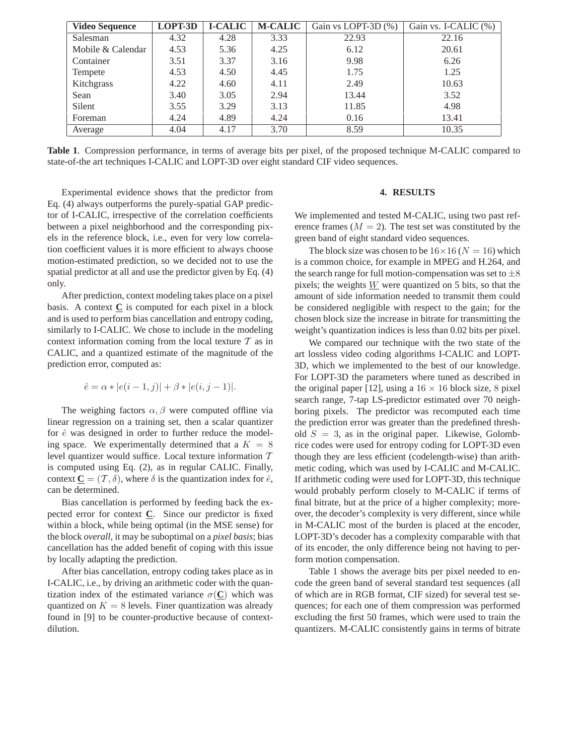| <b>Video Sequence</b> | LOPT-3D | <b>I-CALIC</b> | <b>M-CALIC</b> | Gain vs LOPT-3D (%) | Gain vs. I-CALIC (%) |
|-----------------------|---------|----------------|----------------|---------------------|----------------------|
| Salesman              | 4.32    | 4.28           | 3.33           | 22.93               | 22.16                |
| Mobile & Calendar     | 4.53    | 5.36           | 4.25           | 6.12                | 20.61                |
| Container             | 3.51    | 3.37           | 3.16           | 9.98                | 6.26                 |
| Tempete               | 4.53    | 4.50           | 4.45           | 1.75                | 1.25                 |
| Kitchgrass            | 4.22    | 4.60           | 4.11           | 2.49                | 10.63                |
| Sean                  | 3.40    | 3.05           | 2.94           | 13.44               | 3.52                 |
| Silent                | 3.55    | 3.29           | 3.13           | 11.85               | 4.98                 |
| Foreman               | 4.24    | 4.89           | 4.24           | 0.16                | 13.41                |
| Average               | 4.04    | 4.17           | 3.70           | 8.59                | 10.35                |

**Table 1**. Compression performance, in terms of average bits per pixel, of the proposed technique M-CALIC compared to state-of-the art techniques I-CALIC and LOPT-3D over eight standard CIF video sequences.

Experimental evidence shows that the predictor from Eq. (4) always outperforms the purely-spatial GAP predictor of I-CALIC, irrespective of the correlation coefficients between a pixel neighborhood and the corresponding pixels in the reference block, i.e., even for very low correlation coefficient values it is more efficient to always choose motion-estimated prediction, so we decided not to use the spatial predictor at all and use the predictor given by Eq. (4) only.

After prediction, context modeling takes place on a pixel basis. A context  $C$  is computed for each pixel in a block and is used to perform bias cancellation and entropy coding, similarly to I-CALIC. We chose to include in the modeling context information coming from the local texture  $T$  as in CALIC, and a quantized estimate of the magnitude of the prediction error, computed as:

$$
\hat{e} = \alpha * |e(i-1,j)| + \beta * |e(i,j-1)|.
$$

The weighing factors  $\alpha$ ,  $\beta$  were computed offline via linear regression on a training set, then a scalar quantizer for  $\hat{e}$  was designed in order to further reduce the modeling space. We experimentally determined that a  $K = 8$ level quantizer would suffice. Local texture information T is computed using Eq. (2), as in regular CALIC. Finally, context  $\underline{\mathbf{C}} = (\mathcal{T}, \delta)$ , where  $\delta$  is the quantization index for  $\hat{e}$ , can be determined.

Bias cancellation is performed by feeding back the expected error for context **C**. Since our predictor is fixed within a block, while being optimal (in the MSE sense) for the block *overall*, it may be suboptimal on a *pixel basis*; bias cancellation has the added benefit of coping with this issue by locally adapting the prediction.

After bias cancellation, entropy coding takes place as in I-CALIC, i.e., by driving an arithmetic coder with the quantization index of the estimated variance  $\sigma(\mathbf{C})$  which was quantized on  $K = 8$  levels. Finer quantization was already found in [9] to be counter-productive because of contextdilution.

### **4. RESULTS**

We implemented and tested M-CALIC, using two past reference frames  $(M = 2)$ . The test set was constituted by the green band of eight standard video sequences.

The block size was chosen to be  $16\times16$  ( $N = 16$ ) which is a common choice, for example in MPEG and H.264, and the search range for full motion-compensation was set to  $\pm 8$ pixels; the weights W were quantized on 5 bits, so that the amount of side information needed to transmit them could be considered negligible with respect to the gain; for the chosen block size the increase in bitrate for transmitting the weight's quantization indices is less than 0.02 bits per pixel.

We compared our technique with the two state of the art lossless video coding algorithms I-CALIC and LOPT-3D, which we implemented to the best of our knowledge. For LOPT-3D the parameters where tuned as described in the original paper [12], using a  $16 \times 16$  block size, 8 pixel search range, 7-tap LS-predictor estimated over 70 neighboring pixels. The predictor was recomputed each time the prediction error was greater than the predefined threshold  $S = 3$ , as in the original paper. Likewise, Golombrice codes were used for entropy coding for LOPT-3D even though they are less efficient (codelength-wise) than arithmetic coding, which was used by I-CALIC and M-CALIC. If arithmetic coding were used for LOPT-3D, this technique would probably perform closely to M-CALIC if terms of final bitrate, but at the price of a higher complexity; moreover, the decoder's complexity is very different, since while in M-CALIC most of the burden is placed at the encoder, LOPT-3D's decoder has a complexity comparable with that of its encoder, the only difference being not having to perform motion compensation.

Table 1 shows the average bits per pixel needed to encode the green band of several standard test sequences (all of which are in RGB format, CIF sized) for several test sequences; for each one of them compression was performed excluding the first 50 frames, which were used to train the quantizers. M-CALIC consistently gains in terms of bitrate